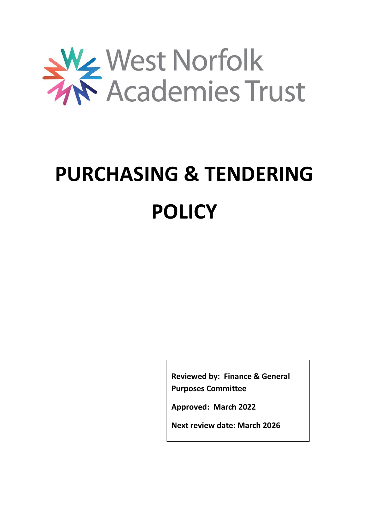

# **PURCHASING & TENDERING POLICY**

**Reviewed by: Finance & General Purposes Committee**

**Approved: March 2022**

**Next review date: March 2026**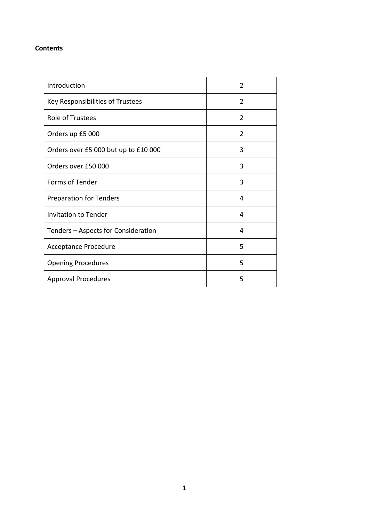## **Contents**

| Introduction                         | $\mathcal{P}$  |
|--------------------------------------|----------------|
| Key Responsibilities of Trustees     | $\mathcal{P}$  |
| <b>Role of Trustees</b>              | $\overline{2}$ |
| Orders up £5 000                     | 2              |
| Orders over £5 000 but up to £10 000 | 3              |
| Orders over £50 000                  | 3              |
| Forms of Tender                      | 3              |
| <b>Preparation for Tenders</b>       | 4              |
| <b>Invitation to Tender</b>          | 4              |
| Tenders - Aspects for Consideration  | 4              |
| Acceptance Procedure                 | 5              |
| <b>Opening Procedures</b>            | 5              |
| <b>Approval Procedures</b>           | 5              |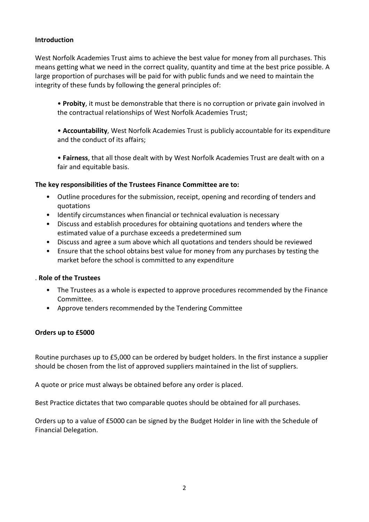# **Introduction**

West Norfolk Academies Trust aims to achieve the best value for money from all purchases. This means getting what we need in the correct quality, quantity and time at the best price possible. A large proportion of purchases will be paid for with public funds and we need to maintain the integrity of these funds by following the general principles of:

• **Probity**, it must be demonstrable that there is no corruption or private gain involved in the contractual relationships of West Norfolk Academies Trust;

• **Accountability**, West Norfolk Academies Trust is publicly accountable for its expenditure and the conduct of its affairs;

• **Fairness**, that all those dealt with by West Norfolk Academies Trust are dealt with on a fair and equitable basis.

#### **The key responsibilities of the Trustees Finance Committee are to:**

- Outline procedures for the submission, receipt, opening and recording of tenders and quotations
- Identify circumstances when financial or technical evaluation is necessary
- Discuss and establish procedures for obtaining quotations and tenders where the estimated value of a purchase exceeds a predetermined sum
- Discuss and agree a sum above which all quotations and tenders should be reviewed
- Ensure that the school obtains best value for money from any purchases by testing the market before the school is committed to any expenditure

#### . **Role of the Trustees**

- The Trustees as a whole is expected to approve procedures recommended by the Finance Committee.
- Approve tenders recommended by the Tendering Committee

#### **Orders up to £5000**

Routine purchases up to £5,000 can be ordered by budget holders. In the first instance a supplier should be chosen from the list of approved suppliers maintained in the list of suppliers.

A quote or price must always be obtained before any order is placed.

Best Practice dictates that two comparable quotes should be obtained for all purchases.

Orders up to a value of £5000 can be signed by the Budget Holder in line with the Schedule of Financial Delegation.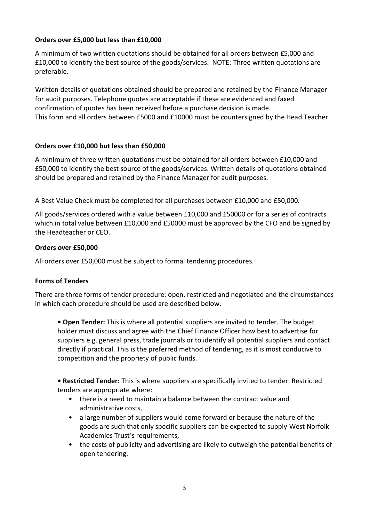# **Orders over £5,000 but less than £10,000**

A minimum of two written quotations should be obtained for all orders between £5,000 and £10,000 to identify the best source of the goods/services. NOTE: Three written quotations are preferable.

Written details of quotations obtained should be prepared and retained by the Finance Manager for audit purposes. Telephone quotes are acceptable if these are evidenced and faxed confirmation of quotes has been received before a purchase decision is made. This form and all orders between £5000 and £10000 must be countersigned by the Head Teacher.

## **Orders over £10,000 but less than £50,000**

A minimum of three written quotations must be obtained for all orders between £10,000 and £50,000 to identify the best source of the goods/services. Written details of quotations obtained should be prepared and retained by the Finance Manager for audit purposes.

A Best Value Check must be completed for all purchases between £10,000 and £50,000.

All goods/services ordered with a value between £10,000 and £50000 or for a series of contracts which in total value between £10,000 and £50000 must be approved by the CFO and be signed by the Headteacher or CEO.

#### **Orders over £50,000**

All orders over £50,000 must be subject to formal tendering procedures.

#### **Forms of Tenders**

There are three forms of tender procedure: open, restricted and negotiated and the circumstances in which each procedure should be used are described below.

**• Open Tender:** This is where all potential suppliers are invited to tender. The budget holder must discuss and agree with the Chief Finance Officer how best to advertise for suppliers e.g. general press, trade journals or to identify all potential suppliers and contact directly if practical. This is the preferred method of tendering, as it is most conducive to competition and the propriety of public funds.

**• Restricted Tender:** This is where suppliers are specifically invited to tender. Restricted tenders are appropriate where:

- there is a need to maintain a balance between the contract value and administrative costs,
- a large number of suppliers would come forward or because the nature of the goods are such that only specific suppliers can be expected to supply West Norfolk Academies Trust's requirements,
- the costs of publicity and advertising are likely to outweigh the potential benefits of open tendering.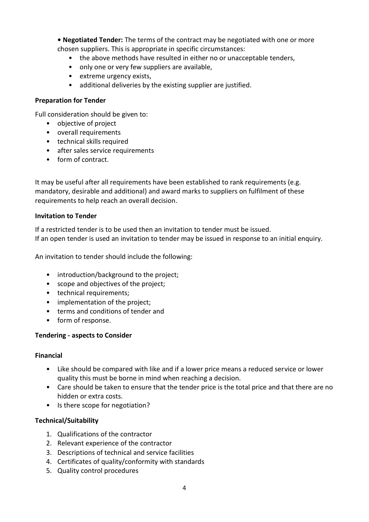**• Negotiated Tender:** The terms of the contract may be negotiated with one or more chosen suppliers. This is appropriate in specific circumstances:

- the above methods have resulted in either no or unacceptable tenders,
- only one or very few suppliers are available,
- extreme urgency exists,
- additional deliveries by the existing supplier are justified.

#### **Preparation for Tender**

Full consideration should be given to:

- objective of project
- overall requirements
- technical skills required
- after sales service requirements
- form of contract.

It may be useful after all requirements have been established to rank requirements (e.g. mandatory, desirable and additional) and award marks to suppliers on fulfilment of these requirements to help reach an overall decision.

#### **Invitation to Tender**

If a restricted tender is to be used then an invitation to tender must be issued. If an open tender is used an invitation to tender may be issued in response to an initial enquiry.

An invitation to tender should include the following:

- introduction/background to the project;
- scope and objectives of the project;
- technical requirements;
- implementation of the project;
- terms and conditions of tender and
- form of response.

#### **Tendering - aspects to Consider**

#### **Financial**

- Like should be compared with like and if a lower price means a reduced service or lower quality this must be borne in mind when reaching a decision.
- Care should be taken to ensure that the tender price is the total price and that there are no hidden or extra costs.
- Is there scope for negotiation?

#### **Technical/Suitability**

- 1. Qualifications of the contractor
- 2. Relevant experience of the contractor
- 3. Descriptions of technical and service facilities
- 4. Certificates of quality/conformity with standards
- 5. Quality control procedures